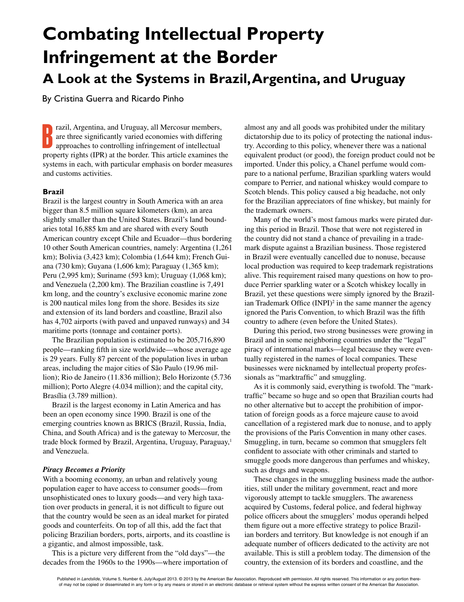# **Combating Intellectual Property Infringement at the Border A Look at the Systems in Brazil, Argentina, and Uruguay**

By Cristina Guerra and Ricardo Pinho

**B** razil, Argentina, and Uruguay, all Mercosur members, are three significantly varied economies with differing approaches to controlling infringement of intellectual property rights (IPR) at the border. This article examines the systems in each, with particular emphasis on border measures and customs activities.

# **Brazil**

Brazil is the largest country in South America with an area bigger than 8.5 million square kilometers (km), an area slightly smaller than the United States. Brazil's land boundaries total 16,885 km and are shared with every South American country except Chile and Ecuador—thus bordering 10 other South American countries, namely: Argentina (1,261 km); Bolivia (3,423 km); Colombia (1,644 km); French Guiana (730 km); Guyana (1,606 km); Paraguay (1,365 km); Peru (2,995 km); Suriname (593 km); Uruguay (1,068 km); and Venezuela (2,200 km). The Brazilian coastline is 7,491 km long, and the country's exclusive economic marine zone is 200 nautical miles long from the shore. Besides its size and extension of its land borders and coastline, Brazil also has 4,702 airports (with paved and unpaved runways) and 34 maritime ports (tonnage and container ports).

The Brazilian population is estimated to be 205,716,890 people—ranking fifth in size worldwide—whose average age is 29 years. Fully 87 percent of the population lives in urban areas, including the major cities of São Paulo (19.96 million); Rio de Janeiro (11.836 million); Belo Horizonte (5.736 million); Porto Alegre (4.034 million); and the capital city, Brasília (3.789 million).

Brazil is the largest economy in Latin America and has been an open economy since 1990. Brazil is one of the emerging countries known as BRICS (Brazil, Russia, India, China, and South Africa) and is the gateway to Mercosur, the trade block formed by Brazil, Argentina, Uruguay, Paraguay,<sup>1</sup> and Venezuela.

## *Piracy Becomes a Priority*

With a booming economy, an urban and relatively young population eager to have access to consumer goods—from unsophisticated ones to luxury goods—and very high taxation over products in general, it is not difficult to figure out that the country would be seen as an ideal market for pirated goods and counterfeits. On top of all this, add the fact that policing Brazilian borders, ports, airports, and its coastline is a gigantic, and almost impossible, task.

This is a picture very different from the "old days"—the decades from the 1960s to the 1990s—where importation of almost any and all goods was prohibited under the military dictatorship due to its policy of protecting the national industry. According to this policy, whenever there was a national equivalent product (or good), the foreign product could not be imported. Under this policy, a Chanel perfume would compare to a national perfume, Brazilian sparkling waters would compare to Perrier, and national whiskey would compare to Scotch blends. This policy caused a big headache, not only for the Brazilian appreciators of fine whiskey, but mainly for the trademark owners.

Many of the world's most famous marks were pirated during this period in Brazil. Those that were not registered in the country did not stand a chance of prevailing in a trademark dispute against a Brazilian business. Those registered in Brazil were eventually cancelled due to nonuse, because local production was required to keep trademark registrations alive. This requirement raised many questions on how to produce Perrier sparkling water or a Scotch whiskey locally in Brazil, yet these questions were simply ignored by the Brazilian Trademark Office  $(INPI)<sup>2</sup>$  in the same manner the agency ignored the Paris Convention, to which Brazil was the fifth country to adhere (even before the United States).

During this period, two strong businesses were growing in Brazil and in some neighboring countries under the "legal" piracy of international marks—legal because they were eventually registered in the names of local companies. These businesses were nicknamed by intellectual property professionals as "marktraffic" and smuggling.

As it is commonly said, everything is twofold. The "marktraffic" became so huge and so open that Brazilian courts had no other alternative but to accept the prohibition of importation of foreign goods as a force majeure cause to avoid cancellation of a registered mark due to nonuse, and to apply the provisions of the Paris Convention in many other cases. Smuggling, in turn, became so common that smugglers felt confident to associate with other criminals and started to smuggle goods more dangerous than perfumes and whiskey, such as drugs and weapons.

These changes in the smuggling business made the authorities, still under the military government, react and more vigorously attempt to tackle smugglers. The awareness acquired by Customs, federal police, and federal highway police officers about the smugglers' modus operandi helped them figure out a more effective strategy to police Brazilian borders and territory. But knowledge is not enough if an adequate number of officers dedicated to the activity are not available. This is still a problem today. The dimension of the country, the extension of its borders and coastline, and the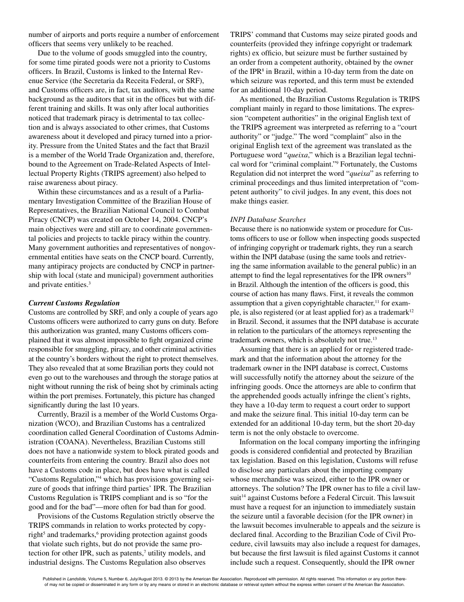number of airports and ports require a number of enforcement officers that seems very unlikely to be reached.

Due to the volume of goods smuggled into the country, for some time pirated goods were not a priority to Customs officers. In Brazil, Customs is linked to the Internal Revenue Service (the Secretaria da Receita Federal, or SRF), and Customs officers are, in fact, tax auditors, with the same background as the auditors that sit in the offices but with different training and skills. It was only after local authorities noticed that trademark piracy is detrimental to tax collection and is always associated to other crimes, that Customs awareness about it developed and piracy turned into a priority. Pressure from the United States and the fact that Brazil is a member of the World Trade Organization and, therefore, bound to the Agreement on Trade-Related Aspects of Intellectual Property Rights (TRIPS agreement) also helped to raise awareness about piracy.

Within these circumstances and as a result of a Parliamentary Investigation Committee of the Brazilian House of Representatives, the Brazilian National Council to Combat Piracy (CNCP) was created on October 14, 2004. CNCP's main objectives were and still are to coordinate governmental policies and projects to tackle piracy within the country. Many government authorities and representatives of nongovernmental entities have seats on the CNCP board. Currently, many antipiracy projects are conducted by CNCP in partnership with local (state and municipal) government authorities and private entities.<sup>3</sup>

#### *Current Customs Regulation*

Customs are controlled by SRF, and only a couple of years ago Customs officers were authorized to carry guns on duty. Before this authorization was granted, many Customs officers complained that it was almost impossible to fight organized crime responsible for smuggling, piracy, and other criminal activities at the country's borders without the right to protect themselves. They also revealed that at some Brazilian ports they could not even go out to the warehouses and through the storage patios at night without running the risk of being shot by criminals acting within the port premises. Fortunately, this picture has changed significantly during the last 10 years.

Currently, Brazil is a member of the World Customs Organization (WCO), and Brazilian Customs has a centralized coordination called General Coordination of Customs Administration (COANA). Nevertheless, Brazilian Customs still does not have a nationwide system to block pirated goods and counterfeits from entering the country. Brazil also does not have a Customs code in place, but does have what is called "Customs Regulation,"4 which has provisions governing seizure of goods that infringe third parties' IPR. The Brazilian Customs Regulation is TRIPS compliant and is so "for the good and for the bad"—more often for bad than for good.

Provisions of the Customs Regulation strictly observe the TRIPS commands in relation to works protected by copyright<sup>5</sup> and trademarks,<sup>6</sup> providing protection against goods that violate such rights, but do not provide the same protection for other IPR, such as patents,<sup>7</sup> utility models, and industrial designs. The Customs Regulation also observes

TRIPS' command that Customs may seize pirated goods and counterfeits (provided they infringe copyright or trademark rights) ex officio, but seizure must be further sustained by an order from a competent authority, obtained by the owner of the IPR<sup>8</sup> in Brazil, within a 10-day term from the date on which seizure was reported, and this term must be extended for an additional 10-day period.

As mentioned, the Brazilian Customs Regulation is TRIPS compliant mainly in regard to those limitations. The expression "competent authorities" in the original English text of the TRIPS agreement was interpreted as referring to a "court authority" or "judge." The word "complaint" also in the original English text of the agreement was translated as the Portuguese word "*queixa*," which is a Brazilian legal technical word for "criminal complaint."9 Fortunately, the Customs Regulation did not interpret the word "*queixa*" as referring to criminal proceedings and thus limited interpretation of "competent authority" to civil judges. In any event, this does not make things easier.

## *INPI Database Searches*

Because there is no nationwide system or procedure for Customs officers to use or follow when inspecting goods suspected of infringing copyright or trademark rights, they run a search within the INPI database (using the same tools and retrieving the same information available to the general public) in an attempt to find the legal representatives for the IPR owners $10$ in Brazil. Although the intention of the officers is good, this course of action has many flaws. First, it reveals the common assumption that a given copyrightable character, $<sup>11</sup>$  for exam-</sup> ple, is also registered (or at least applied for) as a trademark<sup>12</sup> in Brazil. Second, it assumes that the INPI database is accurate in relation to the particulars of the attorneys representing the trademark owners, which is absolutely not true.<sup>13</sup>

Assuming that there is an applied for or registered trademark and that the information about the attorney for the trademark owner in the INPI database is correct, Customs will successfully notify the attorney about the seizure of the infringing goods. Once the attorneys are able to confirm that the apprehended goods actually infringe the client's rights, they have a 10-day term to request a court order to support and make the seizure final. This initial 10-day term can be extended for an additional 10-day term, but the short 20-day term is not the only obstacle to overcome.

Information on the local company importing the infringing goods is considered confidential and protected by Brazilian tax legislation. Based on this legislation, Customs will refuse to disclose any particulars about the importing company whose merchandise was seized, either to the IPR owner or attorneys. The solution? The IPR owner has to file a civil lawsuit<sup>14</sup> against Customs before a Federal Circuit. This lawsuit must have a request for an injunction to immediately sustain the seizure until a favorable decision (for the IPR owner) in the lawsuit becomes invulnerable to appeals and the seizure is declared final. According to the Brazilian Code of Civil Procedure, civil lawsuits may also include a request for damages, but because the first lawsuit is filed against Customs it cannot include such a request. Consequently, should the IPR owner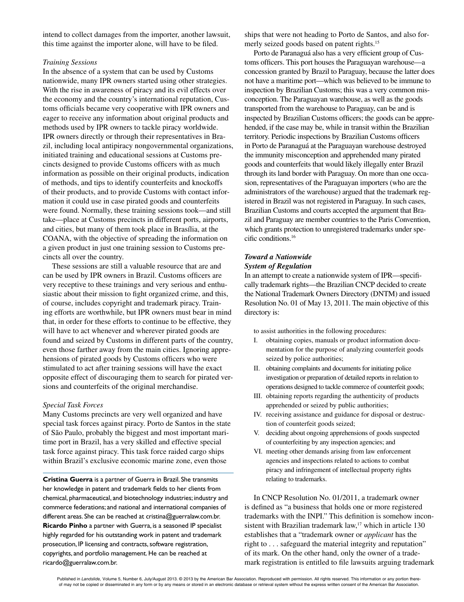intend to collect damages from the importer, another lawsuit, this time against the importer alone, will have to be filed.

## *Training Sessions*

In the absence of a system that can be used by Customs nationwide, many IPR owners started using other strategies. With the rise in awareness of piracy and its evil effects over the economy and the country's international reputation, Customs officials became very cooperative with IPR owners and eager to receive any information about original products and methods used by IPR owners to tackle piracy worldwide. IPR owners directly or through their representatives in Brazil, including local antipiracy nongovernmental organizations, initiated training and educational sessions at Customs precincts designed to provide Customs officers with as much information as possible on their original products, indication of methods, and tips to identify counterfeits and knockoffs of their products, and to provide Customs with contact information it could use in case pirated goods and counterfeits were found. Normally, these training sessions took—and still take—place at Customs precincts in different ports, airports, and cities, but many of them took place in Brasília, at the COANA, with the objective of spreading the information on a given product in just one training session to Customs precincts all over the country.

These sessions are still a valuable resource that are and can be used by IPR owners in Brazil. Customs officers are very receptive to these trainings and very serious and enthusiastic about their mission to fight organized crime, and this, of course, includes copyright and trademark piracy. Training efforts are worthwhile, but IPR owners must bear in mind that, in order for these efforts to continue to be effective, they will have to act whenever and wherever pirated goods are found and seized by Customs in different parts of the country, even those farther away from the main cities. Ignoring apprehensions of pirated goods by Customs officers who were stimulated to act after training sessions will have the exact opposite effect of discouraging them to search for pirated versions and counterfeits of the original merchandise.

#### *Special Task Forces*

Many Customs precincts are very well organized and have special task forces against piracy. Porto de Santos in the state of São Paulo, probably the biggest and most important maritime port in Brazil, has a very skilled and effective special task force against piracy. This task force raided cargo ships within Brazil's exclusive economic marine zone, even those

**Cristina Guerra** is a partner of Guerra in Brazil. She transmits her knowledge in patent and trademark fields to her clients from chemical, pharmaceutical, and biotechnology industries; industry and commerce federations; and national and international companies of different areas. She can be reached at cristina@guerralaw.com.br. **Ricardo Pinho** a partner with Guerra, is a seasoned IP specialist highly regarded for his outstanding work in patent and trademark prosecution, IP licensing and contracts, software registration, copyrights, and portfolio management. He can be reached at ricardo@guerralaw.com.br.

ships that were not heading to Porto de Santos, and also formerly seized goods based on patent rights.<sup>15</sup>

Porto de Paranaguá also has a very efficient group of Customs officers. This port houses the Paraguayan warehouse—a concession granted by Brazil to Paraguay, because the latter does not have a maritime port—which was believed to be immune to inspection by Brazilian Customs; this was a very common misconception. The Paraguayan warehouse, as well as the goods transported from the warehouse to Paraguay, can be and is inspected by Brazilian Customs officers; the goods can be apprehended, if the case may be, while in transit within the Brazilian territory. Periodic inspections by Brazilian Customs officers in Porto de Paranaguá at the Paraguayan warehouse destroyed the immunity misconception and apprehended many pirated goods and counterfeits that would likely illegally enter Brazil through its land border with Paraguay. On more than one occasion, representatives of the Paraguayan importers (who are the administrators of the warehouse) argued that the trademark registered in Brazil was not registered in Paraguay. In such cases, Brazilian Customs and courts accepted the argument that Brazil and Paraguay are member countries to the Paris Convention, which grants protection to unregistered trademarks under specific conditions.16

#### *Toward a Nationwide System of Regulation*

In an attempt to create a nationwide system of IPR—specifically trademark rights—the Brazilian CNCP decided to create the National Trademark Owners Directory (DNTM) and issued Resolution No. 01 of May 13, 2011. The main objective of this directory is:

to assist authorities in the following procedures:

- I. obtaining copies, manuals or product information documentation for the purpose of analyzing counterfeit goods seized by police authorities;
- II. obtaining complaints and documents for initiating police investigation or preparation of detailed reports in relation to operations designed to tackle commerce of counterfeit goods;
- III. obtaining reports regarding the authenticity of products apprehended or seized by public authorities;
- IV. receiving assistance and guidance for disposal or destruction of counterfeit goods seized;
- V. deciding about ongoing apprehensions of goods suspected of counterfeiting by any inspection agencies; and
- VI. meeting other demands arising from law enforcement agencies and inspections related to actions to combat piracy and infringement of intellectual property rights relating to trademarks.

In CNCP Resolution No. 01/2011, a trademark owner is defined as "a business that holds one or more registered trademarks with the INPI." This definition is somehow inconsistent with Brazilian trademark law, $17$  which in article 130 establishes that a "trademark owner or *applicant* has the right to . . . safeguard the material integrity and reputation" of its mark. On the other hand, only the owner of a trademark registration is entitled to file lawsuits arguing trademark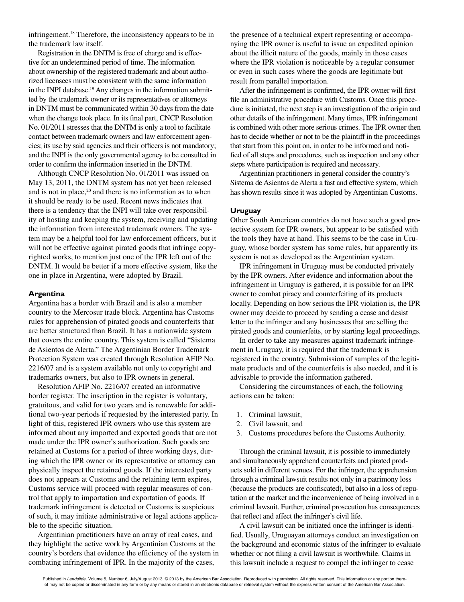infringement.18 Therefore, the inconsistency appears to be in the trademark law itself.

Registration in the DNTM is free of charge and is effective for an undetermined period of time. The information about ownership of the registered trademark and about authorized licensees must be consistent with the same information in the INPI database.<sup>19</sup> Any changes in the information submitted by the trademark owner or its representatives or attorneys in DNTM must be communicated within 30 days from the date when the change took place. In its final part, CNCP Resolution No. 01/2011 stresses that the DNTM is only a tool to facilitate contact between trademark owners and law enforcement agencies; its use by said agencies and their officers is not mandatory; and the INPI is the only governmental agency to be consulted in order to confirm the information inserted in the DNTM.

Although CNCP Resolution No. 01/2011 was issued on May 13, 2011, the DNTM system has not yet been released and is not in place,<sup>20</sup> and there is no information as to when it should be ready to be used. Recent news indicates that there is a tendency that the INPI will take over responsibility of hosting and keeping the system, receiving and updating the information from interested trademark owners. The system may be a helpful tool for law enforcement officers, but it will not be effective against pirated goods that infringe copyrighted works, to mention just one of the IPR left out of the DNTM. It would be better if a more effective system, like the one in place in Argentina, were adopted by Brazil.

#### **Argentina**

Argentina has a border with Brazil and is also a member country to the Mercosur trade block. Argentina has Customs rules for apprehension of pirated goods and counterfeits that are better structured than Brazil. It has a nationwide system that covers the entire country. This system is called "Sistema de Asientos de Alerta." The Argentinian Border Trademark Protection System was created through Resolution AFIP No. 2216/07 and is a system available not only to copyright and trademarks owners, but also to IPR owners in general.

Resolution AFIP No. 2216/07 created an informative border register. The inscription in the register is voluntary, gratuitous, and valid for two years and is renewable for additional two-year periods if requested by the interested party. In light of this, registered IPR owners who use this system are informed about any imported and exported goods that are not made under the IPR owner's authorization. Such goods are retained at Customs for a period of three working days, during which the IPR owner or its representative or attorney can physically inspect the retained goods. If the interested party does not appears at Customs and the retaining term expires, Customs service will proceed with regular measures of control that apply to importation and exportation of goods. If trademark infringement is detected or Customs is suspicious of such, it may initiate administrative or legal actions applicable to the specific situation.

Argentinian practitioners have an array of real cases, and they highlight the active work by Argentinian Customs at the country's borders that evidence the efficiency of the system in combating infringement of IPR. In the majority of the cases,

the presence of a technical expert representing or accompanying the IPR owner is useful to issue an expedited opinion about the illicit nature of the goods, mainly in those cases where the IPR violation is noticeable by a regular consumer or even in such cases where the goods are legitimate but result from parallel importation.

After the infringement is confirmed, the IPR owner will first file an administrative procedure with Customs. Once this procedure is initiated, the next step is an investigation of the origin and other details of the infringement. Many times, IPR infringement is combined with other more serious crimes. The IPR owner then has to decide whether or not to be the plaintiff in the proceedings that start from this point on, in order to be informed and notified of all steps and procedures, such as inspection and any other steps where participation is required and necessary.

Argentinian practitioners in general consider the country's Sistema de Asientos de Alerta a fast and effective system, which has shown results since it was adopted by Argentinian Customs.

#### **Uruguay**

Other South American countries do not have such a good protective system for IPR owners, but appear to be satisfied with the tools they have at hand. This seems to be the case in Uruguay, whose border system has some rules, but apparently its system is not as developed as the Argentinian system.

IPR infringement in Uruguay must be conducted privately by the IPR owners. After evidence and information about the infringement in Uruguay is gathered, it is possible for an IPR owner to combat piracy and counterfeiting of its products locally. Depending on how serious the IPR violation is, the IPR owner may decide to proceed by sending a cease and desist letter to the infringer and any businesses that are selling the pirated goods and counterfeits, or by starting legal proceedings.

In order to take any measures against trademark infringement in Uruguay, it is required that the trademark is registered in the country. Submission of samples of the legitimate products and of the counterfeits is also needed, and it is advisable to provide the information gathered.

Considering the circumstances of each, the following actions can be taken:

- 1. Criminal lawsuit,
- 2. Civil lawsuit, and
- 3. Customs procedures before the Customs Authority.

Through the criminal lawsuit, it is possible to immediately and simultaneously apprehend counterfeits and pirated products sold in different venues. For the infringer, the apprehension through a criminal lawsuit results not only in a patrimony loss (because the products are confiscated), but also in a loss of reputation at the market and the inconvenience of being involved in a criminal lawsuit. Further, criminal prosecution has consequences that reflect and affect the infringer's civil life.

A civil lawsuit can be initiated once the infringer is identified. Usually, Uruguayan attorneys conduct an investigation on the background and economic status of the infringer to evaluate whether or not filing a civil lawsuit is worthwhile. Claims in this lawsuit include a request to compel the infringer to cease